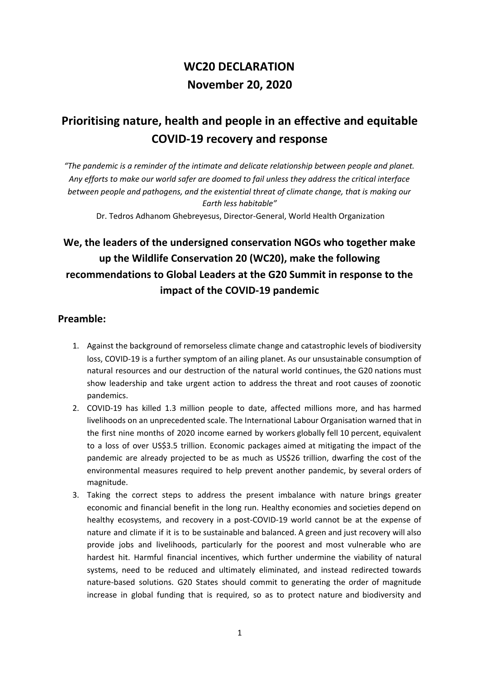# **WC20 DECLARATION November 20, 2020**

# **Prioritising nature, health and people in an effective and equitable COVID-19 recovery and response**

*"The pandemic is a reminder of the intimate and delicate relationship between people and planet. Any efforts to make our world safer are doomed to fail unless they address the critical interface between people and pathogens, and the existential threat of climate change, that is making our Earth less habitable"*

Dr. Tedros Adhanom Ghebreyesus, Director-General, World Health Organization

## **We, the leaders of the undersigned conservation NGOs who together make up the Wildlife Conservation 20 (WC20), make the following recommendations to Global Leaders at the G20 Summit in response to the impact of the COVID-19 pandemic**

#### **Preamble:**

- 1. Against the background of remorseless climate change and catastrophic levels of biodiversity loss, COVID-19 is a further symptom of an ailing planet. As our unsustainable consumption of natural resources and our destruction of the natural world continues, the G20 nations must show leadership and take urgent action to address the threat and root causes of zoonotic pandemics.
- 2. COVID-19 has killed 1.3 million people to date, affected millions more, and has harmed livelihoods on an unprecedented scale. The International Labour Organisation warned that in the first nine months of 2020 income earned by workers globally fell 10 percent, equivalent to a loss of over US\$3.5 trillion. Economic packages aimed at mitigating the impact of the pandemic are already projected to be as much as US\$26 trillion, dwarfing the cost of the environmental measures required to help prevent another pandemic, by several orders of magnitude.
- 3. Taking the correct steps to address the present imbalance with nature brings greater economic and financial benefit in the long run. Healthy economies and societies depend on healthy ecosystems, and recovery in a post-COVID-19 world cannot be at the expense of nature and climate if it is to be sustainable and balanced. A green and just recovery will also provide jobs and livelihoods, particularly for the poorest and most vulnerable who are hardest hit. Harmful financial incentives, which further undermine the viability of natural systems, need to be reduced and ultimately eliminated, and instead redirected towards nature-based solutions. G20 States should commit to generating the order of magnitude increase in global funding that is required, so as to protect nature and biodiversity and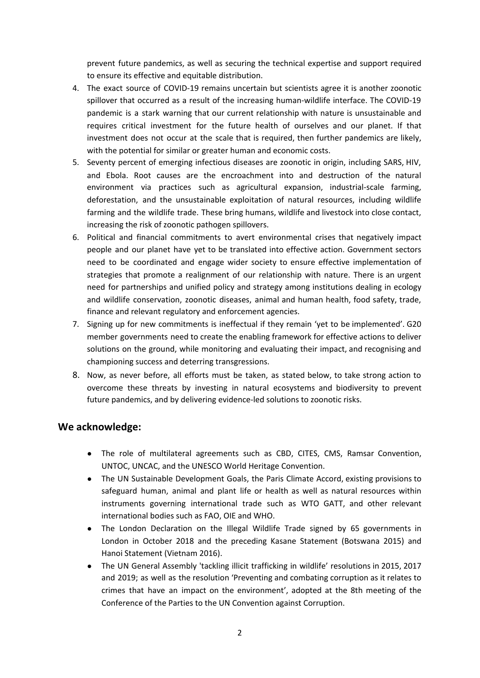prevent future pandemics, as well as securing the technical expertise and support required to ensure its effective and equitable distribution.

- 4. The exact source of COVID-19 remains uncertain but scientists agree it is another zoonotic spillover that occurred as a result of the increasing human-wildlife interface. The COVID-19 pandemic is a stark warning that our current relationship with nature is unsustainable and requires critical investment for the future health of ourselves and our planet. If that investment does not occur at the scale that is required, then further pandemics are likely, with the potential for similar or greater human and economic costs.
- 5. Seventy percent of emerging infectious diseases are zoonotic in origin, including SARS, HIV, and Ebola. Root causes are the encroachment into and destruction of the natural environment via practices such as agricultural expansion, industrial-scale farming, deforestation, and the unsustainable exploitation of natural resources, including wildlife farming and the wildlife trade. These bring humans, wildlife and livestock into close contact, increasing the risk of zoonotic pathogen spillovers.
- 6. Political and financial commitments to avert environmental crises that negatively impact people and our planet have yet to be translated into effective action. Government sectors need to be coordinated and engage wider society to ensure effective implementation of strategies that promote a realignment of our relationship with nature. There is an urgent need for partnerships and unified policy and strategy among institutions dealing in ecology and wildlife conservation, zoonotic diseases, animal and human health, food safety, trade, finance and relevant regulatory and enforcement agencies.
- 7. Signing up for new commitments is ineffectual if they remain 'yet to be implemented'. G20 member governments need to create the enabling framework for effective actions to deliver solutions on the ground, while monitoring and evaluating their impact, and recognising and championing success and deterring transgressions.
- 8. Now, as never before, all efforts must be taken, as stated below, to take strong action to overcome these threats by investing in natural ecosystems and biodiversity to prevent future pandemics, and by delivering evidence-led solutions to zoonotic risks.

#### **We acknowledge:**

- **●** The role of multilateral agreements such as CBD, CITES, CMS, Ramsar Convention, UNTOC, UNCAC, and the UNESCO World Heritage Convention.
- **●** The UN Sustainable Development Goals, the Paris Climate Accord, existing provisions to safeguard human, animal and plant life or health as well as natural resources within instruments governing international trade such as WTO GATT, and other relevant international bodies such as FAO, OIE and WHO.
- The London Declaration on the Illegal Wildlife Trade signed by 65 governments in London in October 2018 and the preceding Kasane Statement (Botswana 2015) and Hanoi Statement (Vietnam 2016).
- The UN General Assembly 'tackling illicit trafficking in wildlife' resolutions in 2015, 2017 and 2019; as well as the resolution 'Preventing and combating corruption as it relates to crimes that have an impact on the environment', adopted at the 8th meeting of the Conference of the Parties to the UN Convention against Corruption.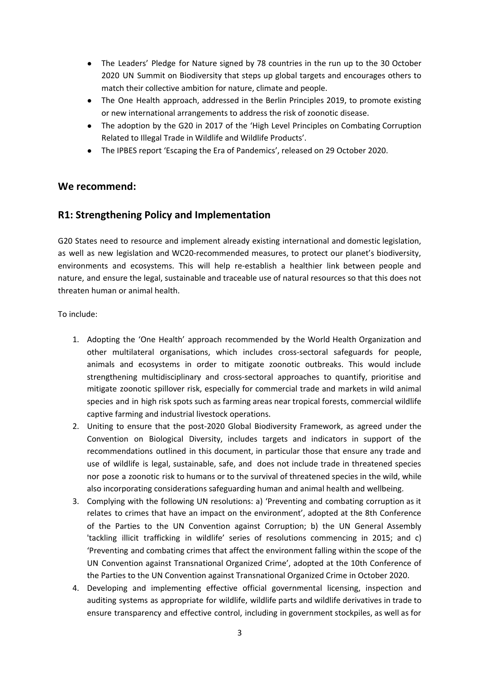- The Leaders' Pledge for Nature signed by 78 countries in the run up to the 30 October 2020 UN Summit on Biodiversity that steps up global targets and encourages others to match their collective ambition for nature, climate and people.
- The One [Health](https://onehealthinitiative.com/) approach, addressed in the Berlin Principles 2019, to promote existing or new international arrangements to address the risk of zoonotic disease.
- The adoption by the G20 in 2017 of the 'High Level Principles on Combating Corruption Related to Illegal Trade in Wildlife and Wildlife Products'.
- The IPBES report 'Escaping the Era of Pandemics', released on 29 October 2020.

#### **We recommend:**

#### **R1: Strengthening Policy and Implementation**

G20 States need to resource and implement already existing international and domestic legislation, as well as new legislation and WC20-recommended measures, to protect our planet's biodiversity, environments and ecosystems. This will help re-establish a healthier link between people and nature, and ensure the legal, sustainable and traceable use of natural resources so that this does not threaten human or animal health.

To include:

- 1. Adopting the 'One Health' approach recommended by the World Health Organization and other multilateral organisations, which includes cross-sectoral safeguards for people, animals and ecosystems in order to mitigate zoonotic outbreaks. This would include strengthening multidisciplinary and cross-sectoral approaches to quantify, prioritise and mitigate zoonotic spillover risk, especially for commercial trade and markets in wild animal species and in high risk spots such as farming areas near tropical forests, commercial wildlife captive farming and industrial livestock operations.
- 2. Uniting to ensure that the post-2020 Global Biodiversity Framework, as agreed under the Convention on Biological Diversity, includes targets and indicators in support of the recommendations outlined in this document, in particular those that ensure any trade and use of wildlife is legal, sustainable, safe, and does not include trade in threatened species nor pose a zoonotic risk to humans or to the survival of threatened species in the wild, while also incorporating considerations safeguarding human and animal health and wellbeing.
- 3. Complying with the following UN resolutions: a) 'Preventing and combating corruption as it relates to crimes that have an impact on the environment', adopted at the 8th Conference of the Parties to the UN Convention against Corruption; b) the UN General Assembly 'tackling illicit trafficking in wildlife' series of resolutions commencing in 2015; and c) 'Preventing and combating crimes that affect the environment falling within the scope of the UN Convention against Transnational Organized Crime', adopted at the 10th Conference of the Parties to the UN Convention against Transnational Organized Crime in October 2020.
- 4. Developing and implementing effective official governmental licensing, inspection and auditing systems as appropriate for wildlife, wildlife parts and wildlife derivatives in trade to ensure transparency and effective control, including in government stockpiles, as well as for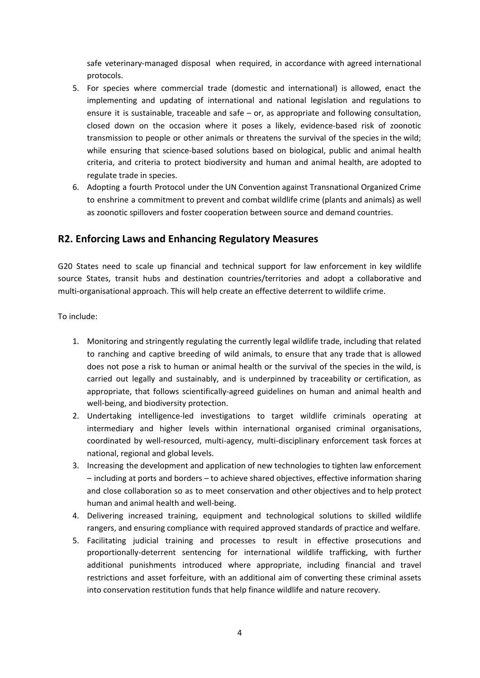safe veterinary-managed disposal when required, in accordance with agreed international protocols.

- 5. For species where commercial trade (domestic and international) is allowed, enact the implementing and updating of international and national legislation and regulations to ensure it is sustainable, traceable and safe – or, as appropriate and following consultation, closed down on the occasion where it poses a likely, evidence-based risk of zoonotic transmission to people or other animals or threatens the survival of the species in the wild; while ensuring that science-based solutions based on biological, public and animal health criteria, and criteria to protect biodiversity and human and animal health, are adopted to regulate trade in species.
- 6. Adopting a fourth Protocol under the UN Convention against Transnational Organized Crime to enshrine a commitment to prevent and combat wildlife crime (plants and animals) as well as zoonotic spillovers and foster cooperation between source and demand countries.

#### **R2. Enforcing Laws and Enhancing Regulatory Measures**

G20 States need to scale up financial and technical support for law enforcement in key wildlife source States, transit hubs and destination countries/territories and adopt a collaborative and multi-organisational approach. This will help create an effective deterrent to wildlife crime.

To include:

- 1. Monitoring and stringently regulating the currently legal wildlife trade, including that related to ranching and captive breeding of wild animals, to ensure that any trade that is allowed does not pose a risk to human or animal health or the survival of the species in the wild, is carried out legally and sustainably, and is underpinned by traceability or certification, as appropriate, that follows scientifically-agreed guidelines on human and animal health and well-being, and biodiversity protection.
- 2. Undertaking intelligence-led investigations to target wildlife criminals operating at intermediary and higher levels within international organised criminal organisations, coordinated by well-resourced, multi-agency, multi-disciplinary enforcement task forces at national, regional and global levels.
- 3. Increasing the development and application of new technologies to tighten law enforcement – including at ports and borders – to achieve shared objectives, effective information sharing and close collaboration so as to meet conservation and other objectives and to help protect human and animal health and well-being.
- 4. Delivering increased training, equipment and technological solutions to skilled wildlife rangers, and ensuring compliance with required approved standards of practice and welfare.
- 5. Facilitating judicial training and processes to result in effective prosecutions and proportionally-deterrent sentencing for international wildlife trafficking, with further additional punishments introduced where appropriate, including financial and travel restrictions and asset forfeiture, with an additional aim of converting these criminal assets into conservation restitution funds that help finance wildlife and nature recovery.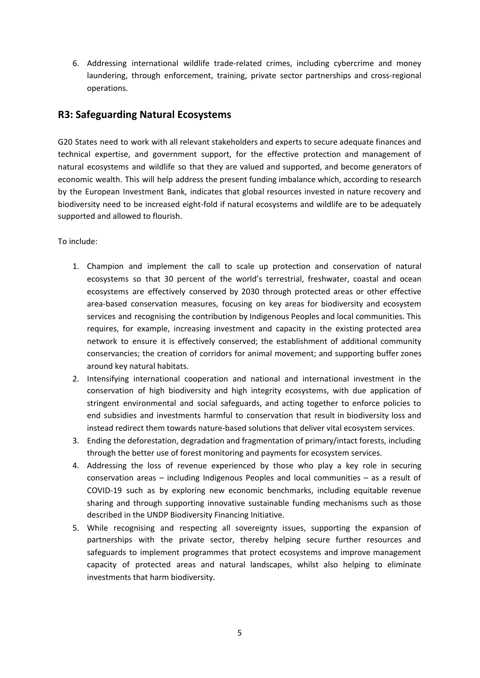6. Addressing international wildlife trade-related crimes, including cybercrime and money laundering, through enforcement, training, private sector partnerships and cross-regional operations.

#### **R3: Safeguarding Natural Ecosystems**

G20 States need to work with all relevant stakeholders and experts to secure adequate finances and technical expertise, and government support, for the effective protection and management of natural ecosystems and wildlife so that they are valued and supported, and become generators of economic wealth. This will help address the present funding imbalance which, according to research by the European Investment Bank, indicates that global resources invested in nature recovery and biodiversity need to be increased eight-fold if natural ecosystems and wildlife are to be adequately supported and allowed to flourish.

To include:

- 1. Champion and implement the call to scale up protection and conservation of natural ecosystems so that 30 percent of the world's terrestrial, freshwater, coastal and ocean ecosystems are effectively conserved by 2030 through protected areas or other effective area-based conservation measures, focusing on key areas for biodiversity and ecosystem services and recognising the contribution by Indigenous Peoples and local communities. This requires, for example, increasing investment and capacity in the existing protected area network to ensure it is effectively conserved; the establishment of additional community conservancies; the creation of corridors for animal movement; and supporting buffer zones around key natural habitats.
- 2. Intensifying international cooperation and national and international investment in the conservation of high biodiversity and high integrity ecosystems, with due application of stringent environmental and social safeguards, and acting together to enforce policies to end subsidies and investments harmful to conservation that result in biodiversity loss and instead redirect them towards nature-based solutions that deliver vital ecosystem services.
- 3. Ending the deforestation, degradation and fragmentation of primary/intact forests, including through the better use of forest monitoring and payments for ecosystem services.
- 4. Addressing the loss of revenue experienced by those who play a key role in securing conservation areas – including Indigenous Peoples and local communities – as a result of COVID-19 such as by exploring new economic benchmarks, including equitable revenue sharing and through supporting innovative sustainable funding mechanisms such as those described in the UNDP Biodiversity Financing Initiative.
- 5. While recognising and respecting all sovereignty issues, supporting the expansion of partnerships with the private sector, thereby helping secure further resources and safeguards to implement programmes that protect ecosystems and improve management capacity of protected areas and natural landscapes, whilst also helping to eliminate investments that harm biodiversity.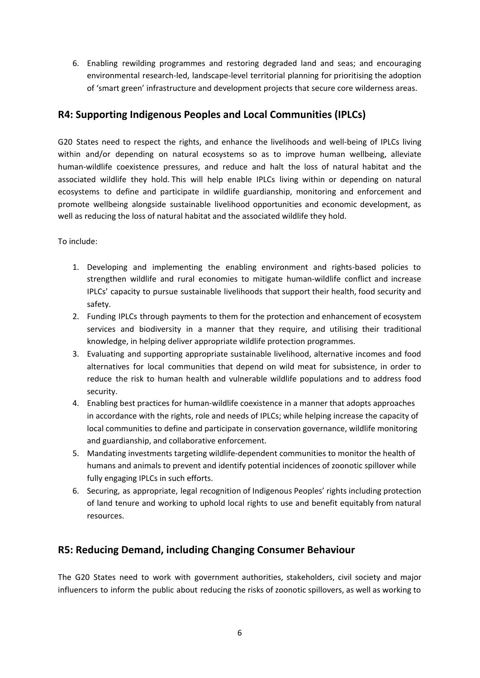6. Enabling rewilding programmes and restoring degraded land and seas; and encouraging environmental research-led, landscape-level territorial planning for prioritising the adoption of 'smart green' infrastructure and development projects that secure core wilderness areas.

### **R4: Supporting Indigenous Peoples and Local Communities (IPLCs)**

G20 States need to respect the rights, and enhance the livelihoods and well-being of IPLCs living within and/or depending on natural ecosystems so as to improve human wellbeing, alleviate human-wildlife coexistence pressures, and reduce and halt the loss of natural habitat and the associated wildlife they hold. This will help enable IPLCs living within or depending on natural ecosystems to define and participate in wildlife guardianship, monitoring and enforcement and promote wellbeing alongside sustainable livelihood opportunities and economic development, as well as reducing the loss of natural habitat and the associated wildlife they hold.

To include:

- 1. Developing and implementing the enabling environment and rights-based policies to strengthen wildlife and rural economies to mitigate human-wildlife conflict and increase IPLCs' capacity to pursue sustainable livelihoods that support their health, food security and safety.
- 2. Funding IPLCs through payments to them for the protection and enhancement of ecosystem services and biodiversity in a manner that they require, and utilising their traditional knowledge, in helping deliver appropriate wildlife protection programmes.
- 3. Evaluating and supporting appropriate sustainable livelihood, alternative incomes and food alternatives for local communities that depend on wild meat for subsistence, in order to reduce the risk to human health and vulnerable wildlife populations and to address food security.
- 4. Enabling best practices for human-wildlife coexistence in a manner that adopts approaches in accordance with the rights, role and needs of IPLCs; while helping increase the capacity of local communities to define and participate in conservation governance, wildlife monitoring and guardianship, and collaborative enforcement.
- 5. Mandating investments targeting wildlife-dependent communities to monitor the health of humans and animals to prevent and identify potential incidences of zoonotic spillover while fully engaging IPLCs in such efforts.
- 6. Securing, as appropriate, legal recognition of Indigenous Peoples' rights including protection of land tenure and working to uphold local rights to use and benefit equitably from natural resources.

### **R5: Reducing Demand, including Changing Consumer Behaviour**

The G20 States need to work with government authorities, stakeholders, civil society and major influencers to inform the public about reducing the risks of zoonotic spillovers, as well as working to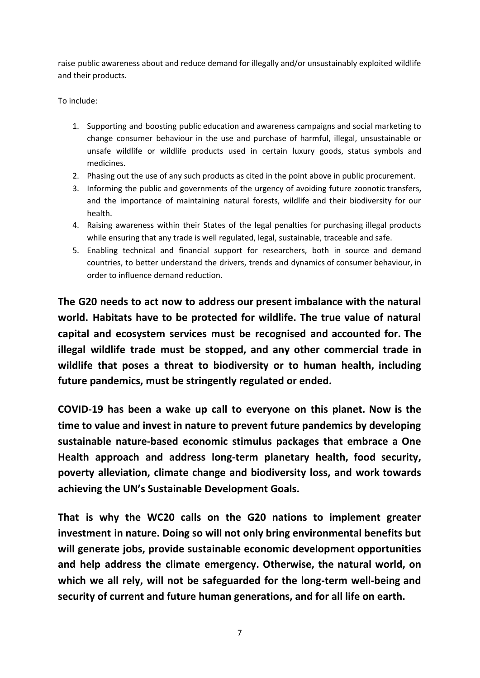raise public awareness about and reduce demand for illegally and/or unsustainably exploited wildlife and their products.

#### To include:

- 1. Supporting and boosting public education and awareness campaigns and social marketing to change consumer behaviour in the use and purchase of harmful, illegal, unsustainable or unsafe wildlife or wildlife products used in certain luxury goods, status symbols and medicines.
- 2. Phasing out the use of any such products as cited in the point above in public procurement.
- 3. Informing the public and governments of the urgency of avoiding future zoonotic transfers, and the importance of maintaining natural forests, wildlife and their biodiversity for our health.
- 4. Raising awareness within their States of the legal penalties for purchasing illegal products while ensuring that any trade is well regulated, legal, sustainable, traceable and safe.
- 5. Enabling technical and financial support for researchers, both in source and demand countries, to better understand the drivers, trends and dynamics of consumer behaviour, in order to influence demand reduction.

**The G20 needs to act now to address our present imbalance with the natural world. Habitats have to be protected for wildlife. The true value of natural capital and ecosystem services must be recognised and accounted for. The illegal wildlife trade must be stopped, and any other commercial trade in wildlife that poses a threat to biodiversity or to human health, including future pandemics, must be stringently regulated or ended.**

**COVID-19 has been a wake up call to everyone on this planet. Now is the time to value and invest in nature to prevent future pandemics by developing sustainable nature-based economic stimulus packages that embrace a One Health approach and address long-term planetary health, food security, poverty alleviation, climate change and biodiversity loss, and work towards achieving the UN's Sustainable Development Goals.**

**That is why the WC20 calls on the G20 nations to implement greater investment in nature. Doing so will not only bring environmental benefits but will generate jobs, provide sustainable economic development opportunities and help address the climate emergency. Otherwise, the natural world, on which we all rely, will not be safeguarded for the long-term well-being and security of current and future human generations, and for all life on earth.**